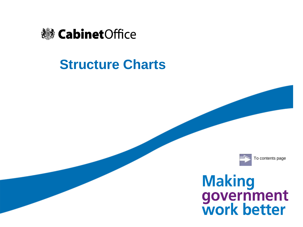

# **Structure Charts**



# **Making<br>government<br>work better**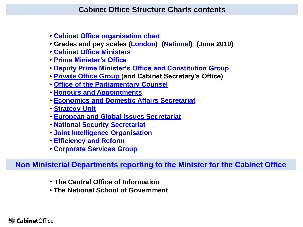- **[Cabinet Office organisation chart](#page-2-0)**
- **Grades and pay scales ([London](#page-3-0)) [\(National](#page-4-0)) (June 2010)**
- **[Cabinet Office Ministers](#page-5-0)**
- **[Prime Minister's Office](#page-6-0)**
- **[Deputy Prime Minister's Office and Constitution Group](#page-8-0)**
- **[Private Office Group](#page-10-0) (and Cabinet Secretary's Office)**
- **[Office of the Parliamentary Counsel](#page-12-0)**
- **[Honours and Appointments](#page-14-0)**
- **[Economics and Domestic Affairs Secretariat](#page-15-0)**
- **[Strategy Unit](#page-17-0)**
- **[European and Global Issues Secretariat](#page-19-0)**
- **[National Security Secretariat](#page-21-0)**
- **[Joint Intelligence Organisation](#page-22-0)**
- **[Efficiency and Reform](#page-23-0)**
- **[Corporate Services Group](#page-39-0)**

**[Non Ministerial Departments reporting to the Minister for the Cabinet Office](#page-41-0)**

- **The Central Office of Information**
- **The National School of Government**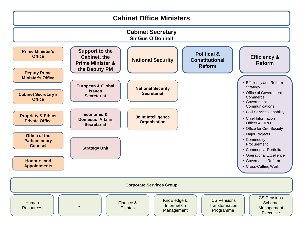<span id="page-2-0"></span>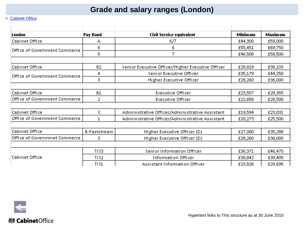# **Grade and salary ranges (London)**

#### < [Cabinet Office](#page-2-0)

| London                             | Pay Band                          | <b>Civil Service equivalent</b>                   | <b>Minimum</b> | Maximum |
|------------------------------------|-----------------------------------|---------------------------------------------------|----------------|---------|
| Cabinet Office                     | А                                 | 6/7                                               | £44,300        | £59,000 |
| Office of Government Commerce      | 6                                 | 6                                                 | £55,451        | £69,750 |
|                                    | 5                                 | 7                                                 | £46,508        | £58,500 |
| Cabinet Office                     | <b>B2</b>                         |                                                   | £29,819        | £38,103 |
|                                    |                                   | Senior Executive Officer/Higher Executive Officer |                |         |
| Office of Government Commerce      | 4                                 | Senior Executive Officer                          | £35,179        | £44,250 |
|                                    | 3                                 | Higher Executive Officer                          | £28,260        | £36,000 |
| Cabinet Office                     | <b>B1</b>                         | <b>Executive Officer</b>                          | £23,557        | £29,355 |
| Office of Government Commerce      | 2                                 | <b>Executive Officer</b>                          |                | £28,500 |
| Cabinet Office                     | С                                 | Administrative Officer/Administrative Assistant   | £19,594        | £23,831 |
| Office of Government Commerce<br>1 |                                   | Administrative Officer/Administrative Assistant   | £20,273        | £25,500 |
|                                    |                                   |                                                   |                |         |
| Cabinet Office                     | <b>B-Faststream</b>               | Higher Executive Officer (D)                      | £27,000        | £35,288 |
| Office of Governmnet Commerce      | з<br>Higher Executive Officer (D) |                                                   | £28,260        | £36,000 |
|                                    |                                   |                                                   |                |         |
|                                    | TIS3                              | Senior Information Officer                        | £36,371        | £46,470 |
| Cabinet Office                     | TIS <sub>2</sub>                  | <b>Information Officer</b>                        | £30,842        | £39,405 |
|                                    | <b>TIS1</b>                       | Assistant Information Officer                     | £23,826        | £29,695 |

<span id="page-3-0"></span>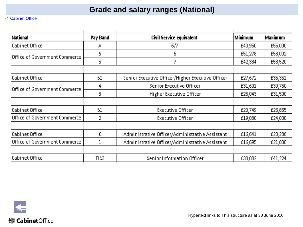# **Grade and salary ranges (National)**

| <b>National</b>               | Pay Band         | <b>Civil Service equivalent</b>                   |         | Maxim um |
|-------------------------------|------------------|---------------------------------------------------|---------|----------|
| Cabinet Office                | А                | 6/7                                               | £40,950 | £55,000  |
| Office of Government Commerce | 6                | 6                                                 | £51,278 | £58,002  |
|                               | 5                | 7                                                 | £42,334 | £53,520  |
|                               |                  |                                                   |         |          |
| Cabinet Office                | <b>B2</b>        | Senior Executive Officer/Higher Executive Officer | £27,672 | £35,351  |
| Office of Government Commerce | 4                | Senior Executive Officer                          | £31,601 | £39,750  |
|                               | 3.               | Higher Executive Officer                          | £25,043 | £31,500  |
|                               |                  |                                                   |         |          |
| Cabinet Office                | Β1               | <b>Executive Officer</b>                          | £20,749 | £25,855  |
| Office of Government Commerce | 2                | Executive Officer                                 | £19,080 | £24,000  |
|                               |                  |                                                   |         |          |
| Cabinet Office                | c                | Administrative Officer/Administrative Assistant   | £16,641 | £20,236  |
| Office of Government Commerce |                  | Administrative Officer/Administrative Assistant   | £16,695 | £21,000  |
|                               |                  |                                                   |         |          |
| Cabinet Office                | TIS <sub>3</sub> | Senior Information Officer                        | £33,082 | £41,224  |

<span id="page-4-0"></span>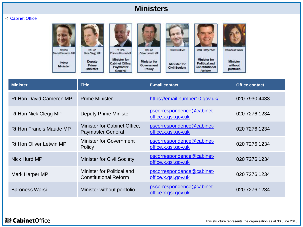## **Ministers**

#### < [Cabinet Office](#page-2-0)

| Rt Hon<br>David Cameron MP | Rt Hon<br>Nick Clegg MP                   | Rt Hon<br>Francis Maude MP                                     | Rt Hon<br>Oliver Letwin MP                         | Nick Hurd MP                                | Mark Harper MP                                                          | <b>Baroness Warst</b>                   |
|----------------------------|-------------------------------------------|----------------------------------------------------------------|----------------------------------------------------|---------------------------------------------|-------------------------------------------------------------------------|-----------------------------------------|
| Prime<br><b>Minister</b>   | <b>Deputy</b><br>Prime<br><b>Minister</b> | <b>Minister for</b><br>Cabinet Office.<br>Paymaster<br>General | <b>Minister for</b><br><b>Government</b><br>Policy | <b>Minister for</b><br><b>Civil Society</b> | <b>Minister for</b><br><b>Political and</b><br>Constitutional<br>Reform | <b>Minister</b><br>without<br>portfolio |

Reform

<span id="page-5-0"></span>

| <b>Minister</b>                | <b>Title</b>                                                      | <b>E-mail contact</b>                            | <b>Office contact</b> |  |
|--------------------------------|-------------------------------------------------------------------|--------------------------------------------------|-----------------------|--|
| <b>Rt Hon David Cameron MP</b> | <b>Prime Minister</b>                                             | https://email.number10.gov.uk/                   | 020 7930 4433         |  |
| Rt Hon Nick Clegg MP           | <b>Deputy Prime Minister</b>                                      | pscorrespondence@cabinet-<br>office.x.gsi.gov.uk | 020 7276 1234         |  |
| <b>Rt Hon Francis Maude MP</b> | Minister for Cabinet Office,<br><b>Paymaster General</b>          | pscorrespondence@cabinet-<br>office.x.gsi.gov.uk | 020 7276 1234         |  |
| Rt Hon Oliver Letwin MP        | <b>Minister for Government</b><br>Policy                          | pscorrespondence@cabinet-<br>office.x.gsi.gov.uk | 020 7276 1234         |  |
| Nick Hurd MP                   | <b>Minister for Civil Society</b>                                 | pscorrespondence@cabinet-<br>office.x.gsi.gov.uk | 020 7276 1234         |  |
| Mark Harper MP                 | <b>Minister for Political and</b><br><b>Constitutional Reform</b> | pscorrespondence@cabinet-<br>office.x.gsi.gov.uk | 020 7276 1234         |  |
| <b>Baroness Warsi</b>          | Minister without portfolio                                        | pscorrespondence@cabinet-<br>office.x.gsi.gov.uk | 020 7276 1234         |  |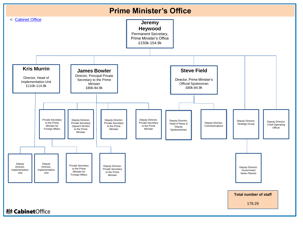

<span id="page-6-0"></span>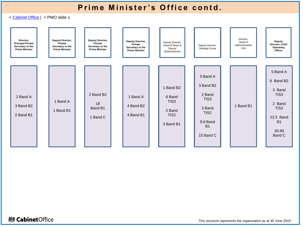# **Prime Minister's Office contd.**

< [Cabinet Office |](#page-2-0) < PMO slide 1

| Director,<br><b>Principal Private</b><br>Secretary to the<br><b>Prime Minister</b> | Deputy Director,<br>Private<br>Secretary to the<br><b>Prime Minister</b> | Deputy Director,<br>Private<br>Secretary to the<br><b>Prime Minister</b> | Deputy Director,<br>Private<br>Secretary to the<br><b>Prime Minister</b> | Deputy Director,<br>Head of News &<br>Deputy<br>Spokeswoman                                    | Deputy Director,<br><b>Strategy Group</b>                                                                               | Director,<br>Head of<br>Implementation<br>Unit | Deputy<br>Director, Chief<br>Operating<br>Officer                                                                                          |
|------------------------------------------------------------------------------------|--------------------------------------------------------------------------|--------------------------------------------------------------------------|--------------------------------------------------------------------------|------------------------------------------------------------------------------------------------|-------------------------------------------------------------------------------------------------------------------------|------------------------------------------------|--------------------------------------------------------------------------------------------------------------------------------------------|
| 2 Band A<br>3 Band B <sub>2</sub><br>2 Band B1                                     | 1 Band A<br>1 Band B1                                                    | 2 Band B <sub>2</sub><br>18<br>Band B1<br>1 Band C                       | 1 Band A<br>4 Band B2<br>4 Band B1                                       | 1 Band B <sub>2</sub><br>6 Band<br>TIS <sub>3</sub><br>2 Band<br>TIS <sub>2</sub><br>3 Band B1 | 5 Band A<br>3 Band B <sub>2</sub><br>2 Band<br>TIS3<br>3 Band<br>TIS <sub>2</sub><br>9.8 Band<br><b>B1</b><br>15 Band C | 1 Band B1                                      | 5 Band A<br>8 Band B <sub>2</sub><br>3 Band<br>TIS <sub>3</sub><br>2 Band<br>TIS <sub>2</sub><br>22.5 Band<br><b>B1</b><br>30.99<br>Band C |

## **※ Cabinet**Office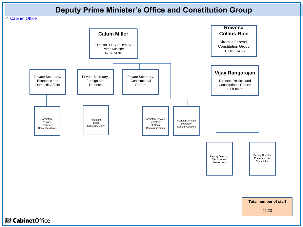## **Deputy Prime Minister's Office and Constitution Group**

#### < [Cabinet Office](#page-2-0)

<span id="page-8-0"></span>

**Total number of staff**

92.23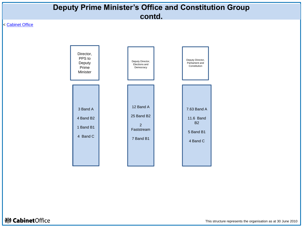

This structure represents the organisation as at 30 June 2010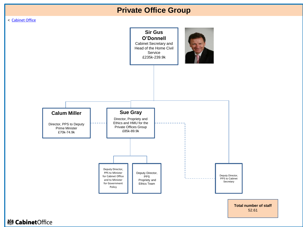# **Private Office Group**

#### < [Cabinet Office](#page-2-0)

<span id="page-10-0"></span>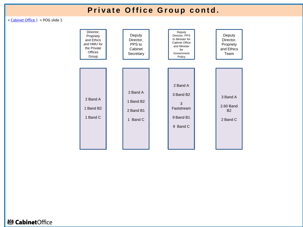# **Private Office Group contd.**

< [Cabinet Office](#page-2-0) | < POG slide 1

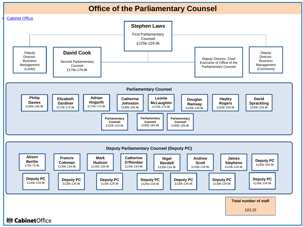## **Office of the Parliamentary Counsel**

<span id="page-12-0"></span>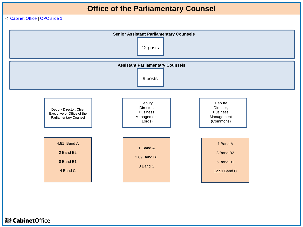# **Office of the Parliamentary Counsel**

< [Cabinet Office |](#page-2-0) [OPC slide 1](#page-12-0) 

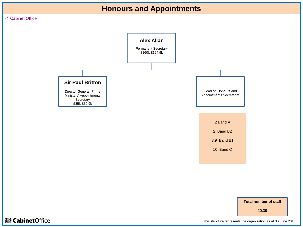

#### < [Cabinet Office](#page-2-0)



20.39

## <span id="page-14-0"></span>**※ Cabinet**Office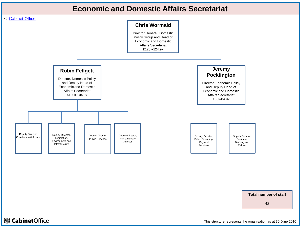## **Economic and Domestic Affairs Secretariat**

<span id="page-15-0"></span>

**Total number of staff**

42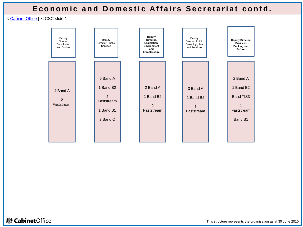## **Economic and Domestic Affairs Secretariat contd.**

< [Cabinet Office](#page-2-0) | < CSC slide 1

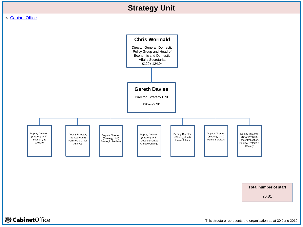

**Total number of staff**

26.81

## <span id="page-17-0"></span>**※ Cabinet**Office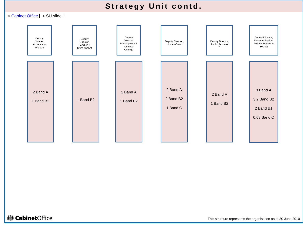# **Strategy Unit contd.**

< [Cabinet Office |](#page-2-0) < SU slide 1



**變 Cabinet**Office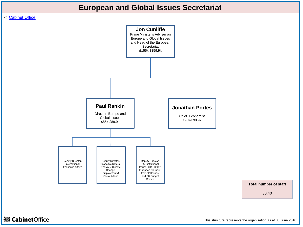## **European and Global Issues Secretariat**

#### <span id="page-19-0"></span>< [Cabinet Office](#page-2-0)



**Total number of staff**

30.40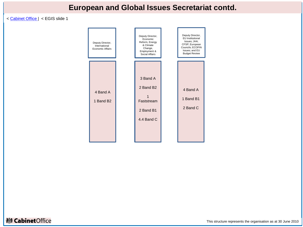# **European and Global Issues Secretariat contd.**

< [Cabinet Office](#page-2-0) | < EGIS slide 1

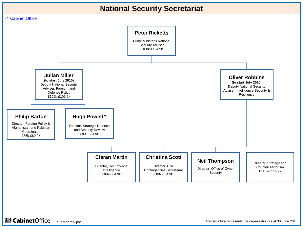

<span id="page-21-0"></span>**※ Cabinet**Office \* Temporary post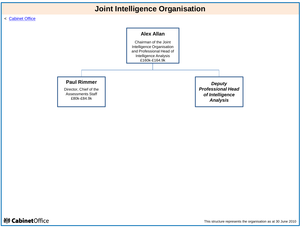## **Joint Intelligence Organisation**

#### < [Cabinet Office](#page-2-0)



<span id="page-22-0"></span>**※ Cabinet**Office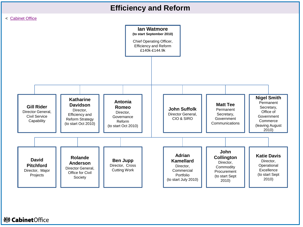## **Efficiency and Reform**

<span id="page-23-0"></span>

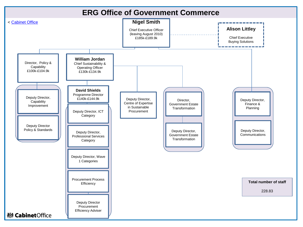## **ERG Office of Government Commerce**

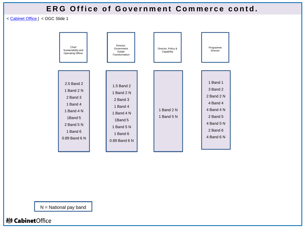## **ERG Office of Government Commerce contd.**

< [Cabinet Office](#page-2-0) | < OGC Slide 1



N = National pay band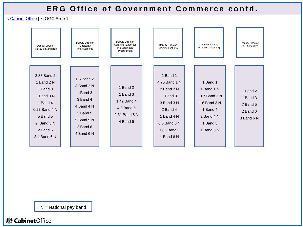## **ERG Office of Government Commerce contd.**

< [Cabinet Office](#page-2-0) | < OGC Slide 1



 $N =$  National pay band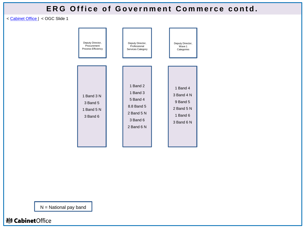## **ERG Office of Government Commerce contd.**

< [Cabinet Office](#page-2-0) | < OGC Slide 1



N = National pay band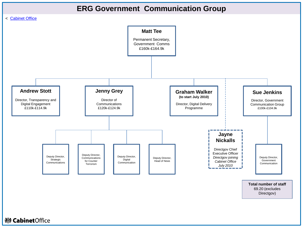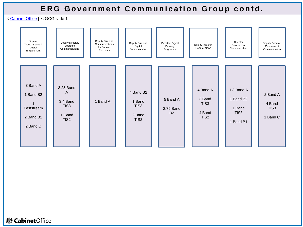## **ERG Government Communication Group contd.**

< [Cabinet Office](#page-2-0) | < GCG slide 1

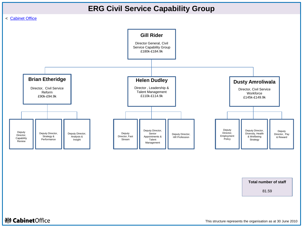

**Total number of staff**

81.59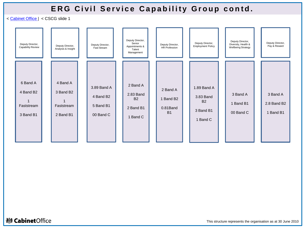## **ERG Civil Service Capability Group contd.**

< [Cabinet Office](#page-2-0) | < CSCG slide 1

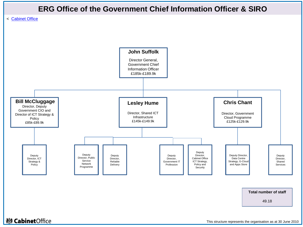

**Total number of staff**

49.18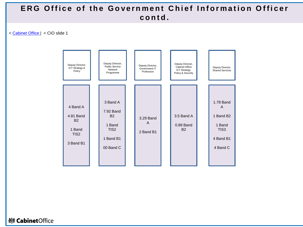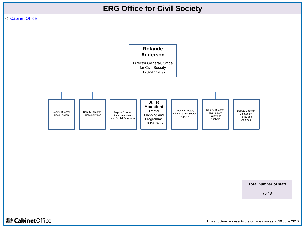

#### < [Cabinet Office](#page-6-0)



**Total number of staff**

70.48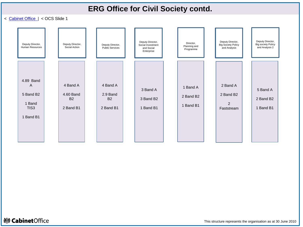## **ERG Office for Civil Society contd.**

< [Cabinet Office |](#page-6-0) < OCS Slide 1



**※ Cabinet**Office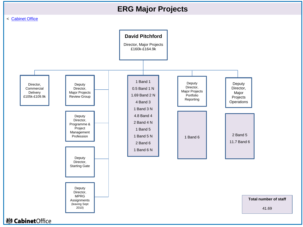## **ERG Major Projects**

#### < [Cabinet Office](#page-2-0)



41.69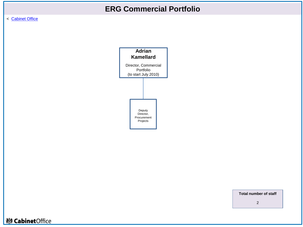## **ERG Commercial Portfolio**

< [Cabinet Office](#page-2-0) 



**Total number of staff**

2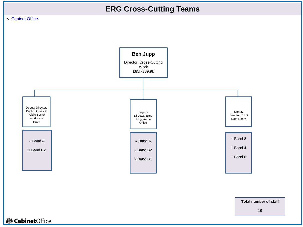





**Total number of staff**

19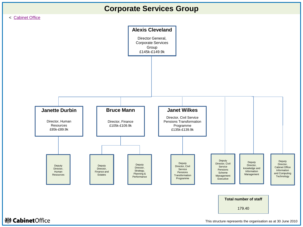

<span id="page-39-0"></span>

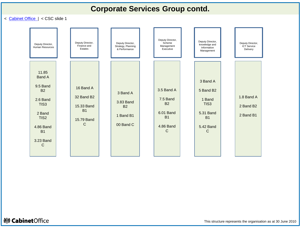## **Corporate Services Group contd.**

< [Cabinet Office |](#page-2-0) < CSC slide 1



<span id="page-40-0"></span>**※ Cabinet**Office